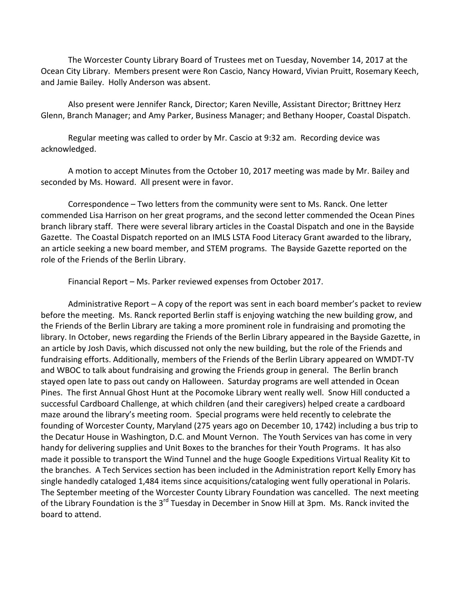The Worcester County Library Board of Trustees met on Tuesday, November 14, 2017 at the Ocean City Library. Members present were Ron Cascio, Nancy Howard, Vivian Pruitt, Rosemary Keech, and Jamie Bailey. Holly Anderson was absent.

Also present were Jennifer Ranck, Director; Karen Neville, Assistant Director; Brittney Herz Glenn, Branch Manager; and Amy Parker, Business Manager; and Bethany Hooper, Coastal Dispatch.

Regular meeting was called to order by Mr. Cascio at 9:32 am. Recording device was acknowledged.

A motion to accept Minutes from the October 10, 2017 meeting was made by Mr. Bailey and seconded by Ms. Howard. All present were in favor.

Correspondence – Two letters from the community were sent to Ms. Ranck. One letter commended Lisa Harrison on her great programs, and the second letter commended the Ocean Pines branch library staff. There were several library articles in the Coastal Dispatch and one in the Bayside Gazette. The Coastal Dispatch reported on an IMLS LSTA Food Literacy Grant awarded to the library, an article seeking a new board member, and STEM programs. The Bayside Gazette reported on the role of the Friends of the Berlin Library.

Financial Report – Ms. Parker reviewed expenses from October 2017.

Administrative Report – A copy of the report was sent in each board member's packet to review before the meeting. Ms. Ranck reported Berlin staff is enjoying watching the new building grow, and the Friends of the Berlin Library are taking a more prominent role in fundraising and promoting the library. In October, news regarding the Friends of the Berlin Library appeared in the Bayside Gazette, in an article by Josh Davis, which discussed not only the new building, but the role of the Friends and fundraising efforts. Additionally, members of the Friends of the Berlin Library appeared on WMDT-TV and WBOC to talk about fundraising and growing the Friends group in general. The Berlin branch stayed open late to pass out candy on Halloween. Saturday programs are well attended in Ocean Pines. The first Annual Ghost Hunt at the Pocomoke Library went really well. Snow Hill conducted a successful Cardboard Challenge, at which children (and their caregivers) helped create a cardboard maze around the library's meeting room. Special programs were held recently to celebrate the founding of Worcester County, Maryland (275 years ago on December 10, 1742) including a bus trip to the Decatur House in Washington, D.C. and Mount Vernon. The Youth Services van has come in very handy for delivering supplies and Unit Boxes to the branches for their Youth Programs. It has also made it possible to transport the Wind Tunnel and the huge Google Expeditions Virtual Reality Kit to the branches. A Tech Services section has been included in the Administration report Kelly Emory has single handedly cataloged 1,484 items since acquisitions/cataloging went fully operational in Polaris. The September meeting of the Worcester County Library Foundation was cancelled. The next meeting of the Library Foundation is the 3<sup>rd</sup> Tuesday in December in Snow Hill at 3pm. Ms. Ranck invited the board to attend.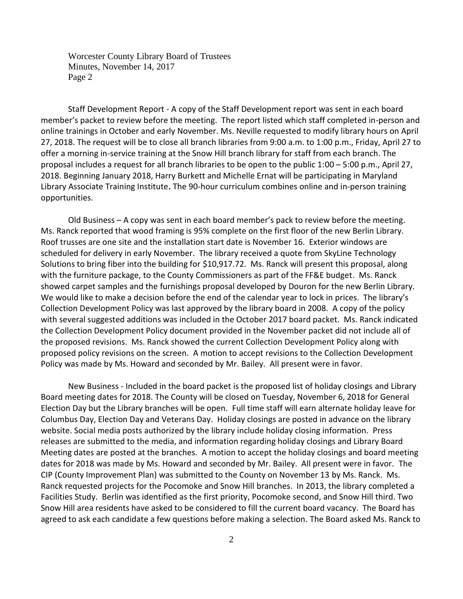Worcester County Library Board of Trustees Minutes, November 14, 2017 Page 2

Staff Development Report - A copy of the Staff Development report was sent in each board member's packet to review before the meeting. The report listed which staff completed in-person and online trainings in October and early November. Ms. Neville requested to modify library hours on April 27, 2018. The request will be to close all branch libraries from 9:00 a.m. to 1:00 p.m., Friday, April 27 to offer a morning in-service training at the Snow Hill branch library for staff from each branch. The proposal includes a request for all branch libraries to be open to the public 1:00 – 5:00 p.m., April 27, 2018. Beginning January 2018, Harry Burkett and Michelle Ernat will be participating in Maryland Library Associate Training Institute**.** The 90-hour curriculum combines online and in-person training opportunities.

Old Business – A copy was sent in each board member's pack to review before the meeting. Ms. Ranck reported that wood framing is 95% complete on the first floor of the new Berlin Library. Roof trusses are one site and the installation start date is November 16. Exterior windows are scheduled for delivery in early November. The library received a quote from SkyLine Technology Solutions to bring fiber into the building for \$10,917.72. Ms. Ranck will present this proposal, along with the furniture package, to the County Commissioners as part of the FF&E budget. Ms. Ranck showed carpet samples and the furnishings proposal developed by Douron for the new Berlin Library. We would like to make a decision before the end of the calendar year to lock in prices. The library's Collection Development Policy was last approved by the library board in 2008. A copy of the policy with several suggested additions was included in the October 2017 board packet. Ms. Ranck indicated the Collection Development Policy document provided in the November packet did not include all of the proposed revisions. Ms. Ranck showed the current Collection Development Policy along with proposed policy revisions on the screen. A motion to accept revisions to the Collection Development Policy was made by Ms. Howard and seconded by Mr. Bailey. All present were in favor.

New Business - Included in the board packet is the proposed list of holiday closings and Library Board meeting dates for 2018. The County will be closed on Tuesday, November 6, 2018 for General Election Day but the Library branches will be open. Full time staff will earn alternate holiday leave for Columbus Day, Election Day and Veterans Day. Holiday closings are posted in advance on the library website. Social media posts authorized by the library include holiday closing information. Press releases are submitted to the media, and information regarding holiday closings and Library Board Meeting dates are posted at the branches. A motion to accept the holiday closings and board meeting dates for 2018 was made by Ms. Howard and seconded by Mr. Bailey. All present were in favor. The CIP (County Improvement Plan) was submitted to the County on November 13 by Ms. Ranck. Ms. Ranck requested projects for the Pocomoke and Snow Hill branches. In 2013, the library completed a Facilities Study. Berlin was identified as the first priority, Pocomoke second, and Snow Hill third. Two Snow Hill area residents have asked to be considered to fill the current board vacancy. The Board has agreed to ask each candidate a few questions before making a selection. The Board asked Ms. Ranck to